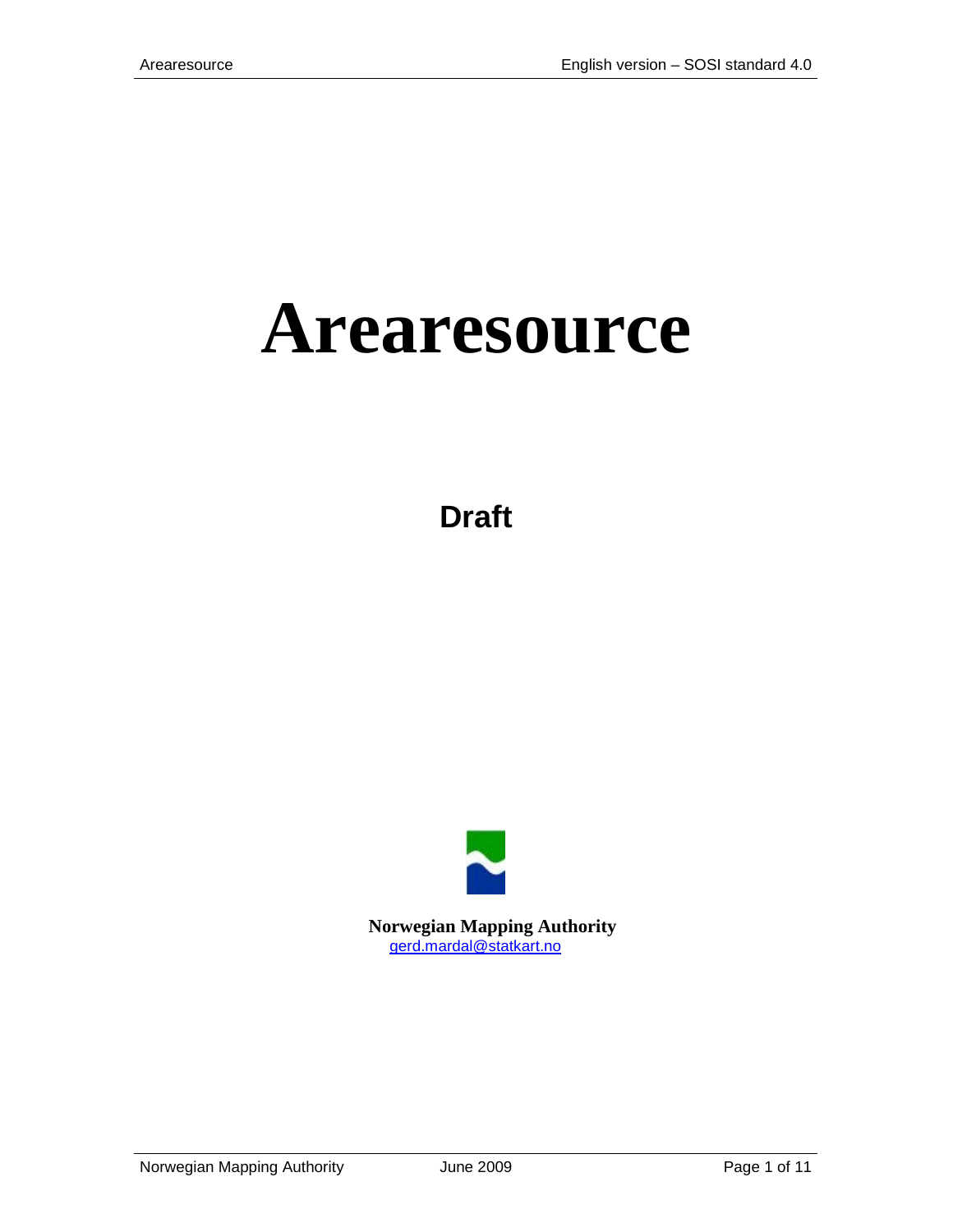# **Arearesource**

**Draft**



 **Norwegian Mapping Authority** [gerd.mardal@statkart.no](mailto:gerd.mardal@statkart.no)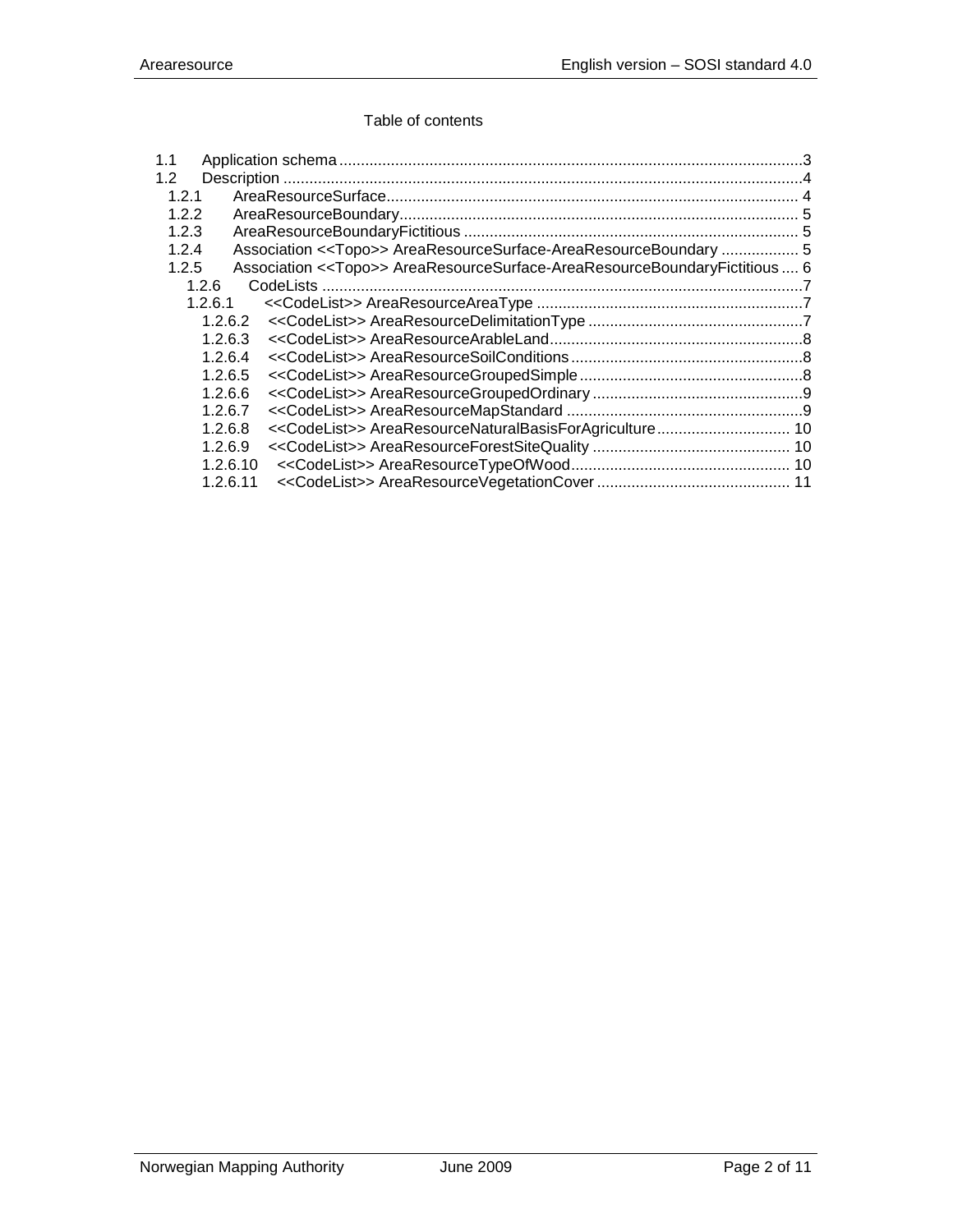#### Table of contents

| 1.1      |                                                                                      |  |
|----------|--------------------------------------------------------------------------------------|--|
| 1.2      |                                                                                      |  |
| 1.2.1    |                                                                                      |  |
| 1.2.2    |                                                                                      |  |
| 1.2.3    |                                                                                      |  |
| 1.2.4    | Association < <topo>&gt; AreaResourceSurface-AreaResourceBoundary  5</topo>          |  |
| 1.2.5    | Association < <topo>&gt; AreaResourceSurface-AreaResourceBoundaryFictitious 6</topo> |  |
| 1.2.6    |                                                                                      |  |
| 1.2.6.1  |                                                                                      |  |
| 1.2.6.2  |                                                                                      |  |
| 1.2.6.3  |                                                                                      |  |
| 1.2.6.4  |                                                                                      |  |
| 1.2.6.5  |                                                                                      |  |
| 1.2.6.6  |                                                                                      |  |
| 1.2.6.7  |                                                                                      |  |
| 1.2.6.8  | < <codelist>&gt; AreaResourceNaturalBasisForAgriculture 10</codelist>                |  |
| 1.2.6.9  |                                                                                      |  |
| 1.2.6.10 |                                                                                      |  |
| 1.2.6.11 |                                                                                      |  |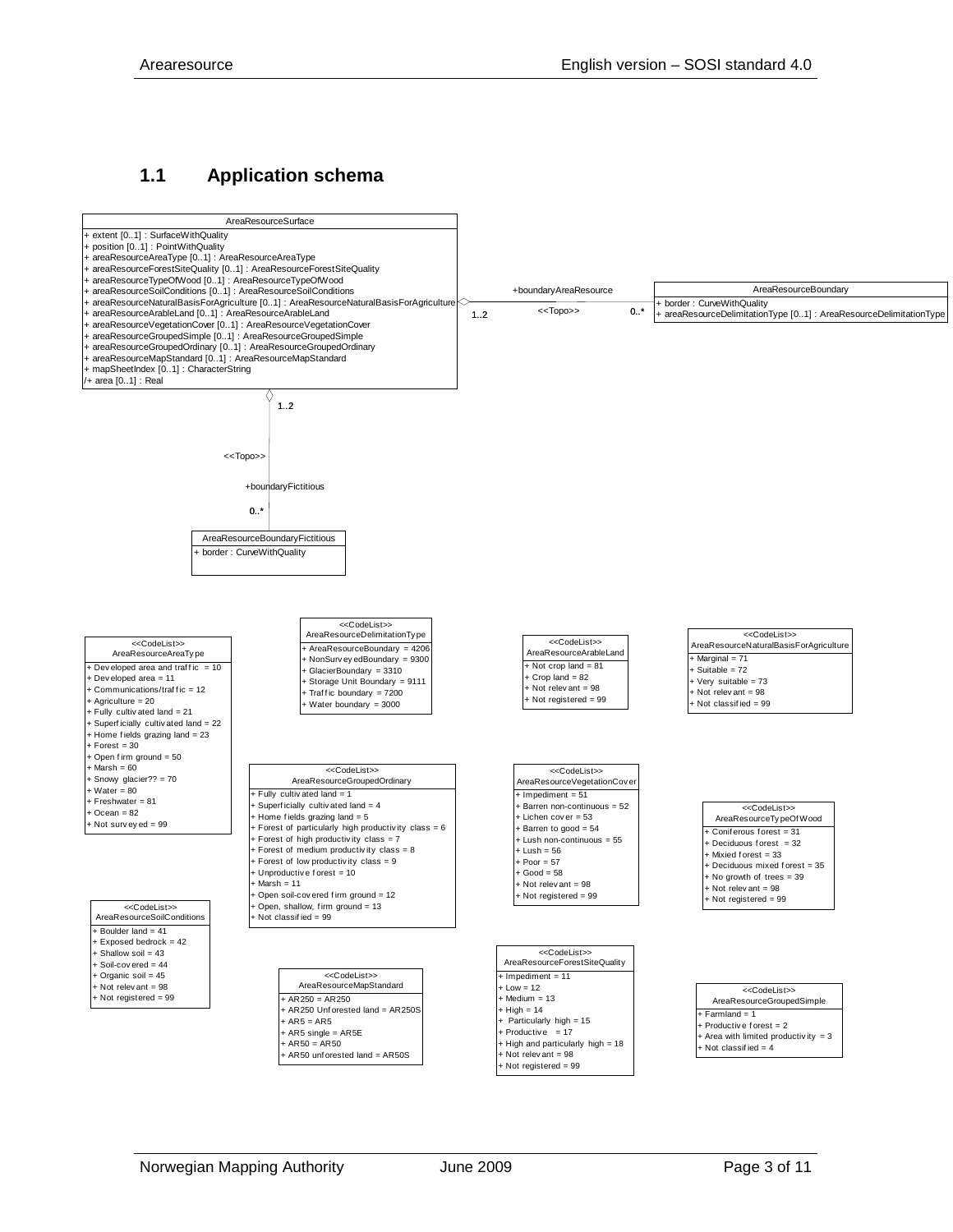### <span id="page-2-0"></span>**1.1 Application schema**

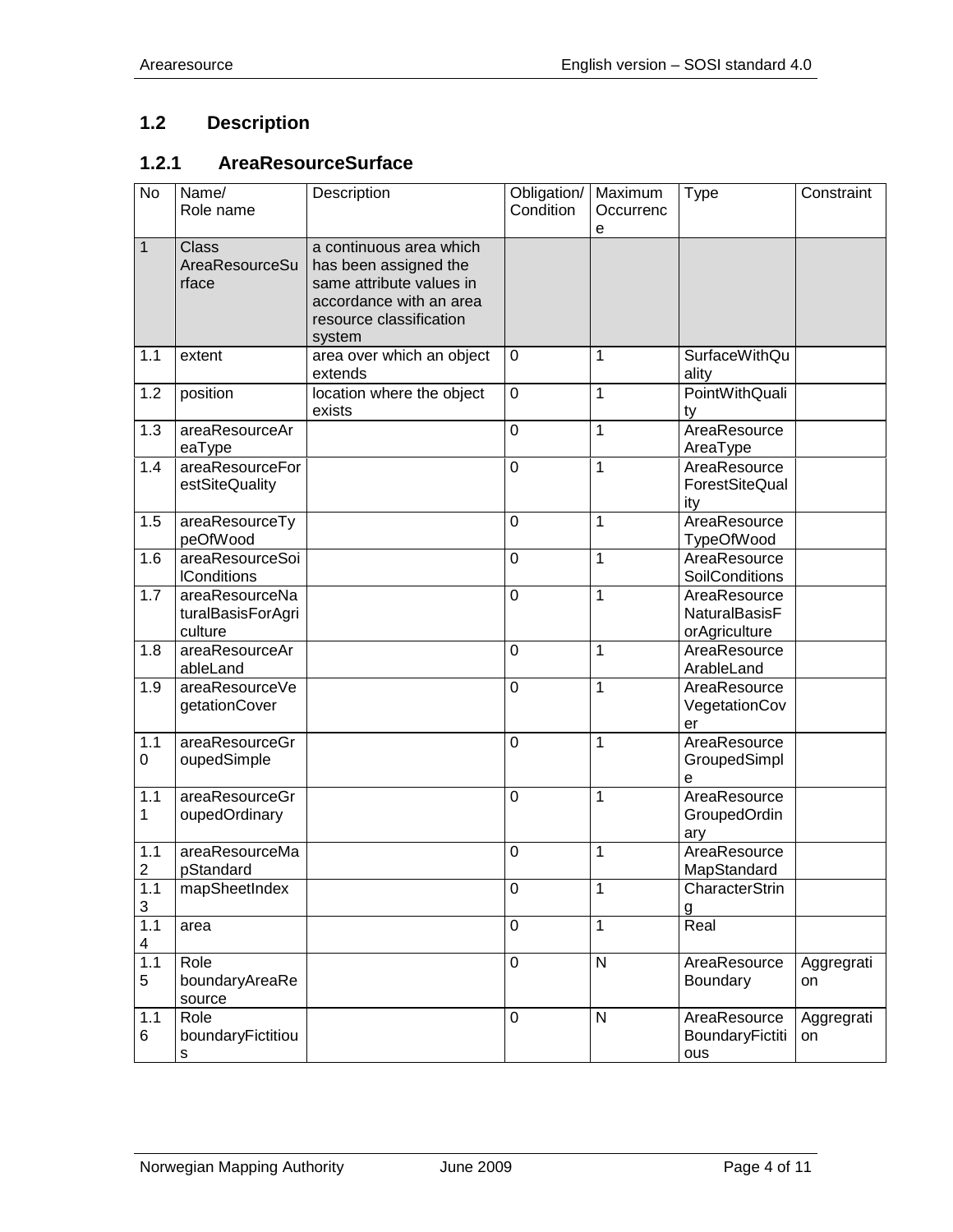## <span id="page-3-0"></span>**1.2 Description**

## <span id="page-3-1"></span>**1.2.1 AreaResourceSurface**

| <b>No</b>             | Name/<br>Role name                             | Description                                                                                                                                  | Obligation/<br>Condition | Maximum<br>Occurrenc<br>e | <b>Type</b>                                           | Constraint       |
|-----------------------|------------------------------------------------|----------------------------------------------------------------------------------------------------------------------------------------------|--------------------------|---------------------------|-------------------------------------------------------|------------------|
| $\mathbf{1}$          | <b>Class</b><br>AreaResourceSu<br>rface        | a continuous area which<br>has been assigned the<br>same attribute values in<br>accordance with an area<br>resource classification<br>system |                          |                           |                                                       |                  |
| 1.1                   | extent                                         | area over which an object<br>extends                                                                                                         | $\mathbf 0$              | 1                         | <b>SurfaceWithQu</b><br>ality                         |                  |
| 1.2                   | position                                       | location where the object<br>exists                                                                                                          | $\mathbf 0$              | 1                         | PointWithQuali<br>ty                                  |                  |
| 1.3                   | areaResourceAr<br>eaType                       |                                                                                                                                              | $\overline{0}$           | 1                         | AreaResource<br>AreaType                              |                  |
| 1.4                   | areaResourceFor<br>estSiteQuality              |                                                                                                                                              | $\mathbf 0$              | 1                         | AreaResource<br>ForestSiteQual<br>ity                 |                  |
| 1.5                   | areaResourceTy<br>peOfWood                     |                                                                                                                                              | $\mathbf 0$              | 1                         | AreaResource<br><b>TypeOfWood</b>                     |                  |
| 1.6                   | areaResourceSoi<br><b>IConditions</b>          |                                                                                                                                              | $\mathbf 0$              | 1                         | AreaResource<br>SoilConditions                        |                  |
| 1.7                   | areaResourceNa<br>turalBasisForAgri<br>culture |                                                                                                                                              | $\mathbf 0$              | 1                         | AreaResource<br><b>NaturalBasisF</b><br>orAgriculture |                  |
| 1.8                   | areaResourceAr<br>ableLand                     |                                                                                                                                              | $\mathbf 0$              | $\mathbf{1}$              | AreaResource<br>ArableLand                            |                  |
| 1.9                   | areaResourceVe<br>getationCover                |                                                                                                                                              | 0                        | $\mathbf{1}$              | AreaResource<br>VegetationCov<br>er                   |                  |
| 1.1<br>0              | areaResourceGr<br>oupedSimple                  |                                                                                                                                              | $\mathbf 0$              | 1                         | AreaResource<br>GroupedSimpl<br>е                     |                  |
| 1.1<br>$\mathbf 1$    | areaResourceGr<br>oupedOrdinary                |                                                                                                                                              | 0                        | 1                         | AreaResource<br>GroupedOrdin<br>ary                   |                  |
| 1.1<br>$\overline{2}$ | areaResourceMa<br>pStandard                    |                                                                                                                                              | $\mathbf 0$              | 1                         | AreaResource<br>MapStandard                           |                  |
| 1.1<br>$\mathbf{3}$   | mapSheetIndex                                  |                                                                                                                                              | $\pmb{0}$                | 1                         | CharacterStrin<br>g                                   |                  |
| 1.1<br>4              | area                                           |                                                                                                                                              | $\overline{0}$           | $\mathbf{1}$              | Real                                                  |                  |
| 1.1<br>5              | Role<br>boundaryAreaRe<br>source               |                                                                                                                                              | $\pmb{0}$                | N                         | AreaResource<br>Boundary                              | Aggregrati<br>on |
| 1.1<br>6              | Role<br>boundaryFictitiou<br>s                 |                                                                                                                                              | $\mathbf 0$              | $\mathsf{N}$              | AreaResource<br>BoundaryFictiti<br>ous                | Aggregrati<br>on |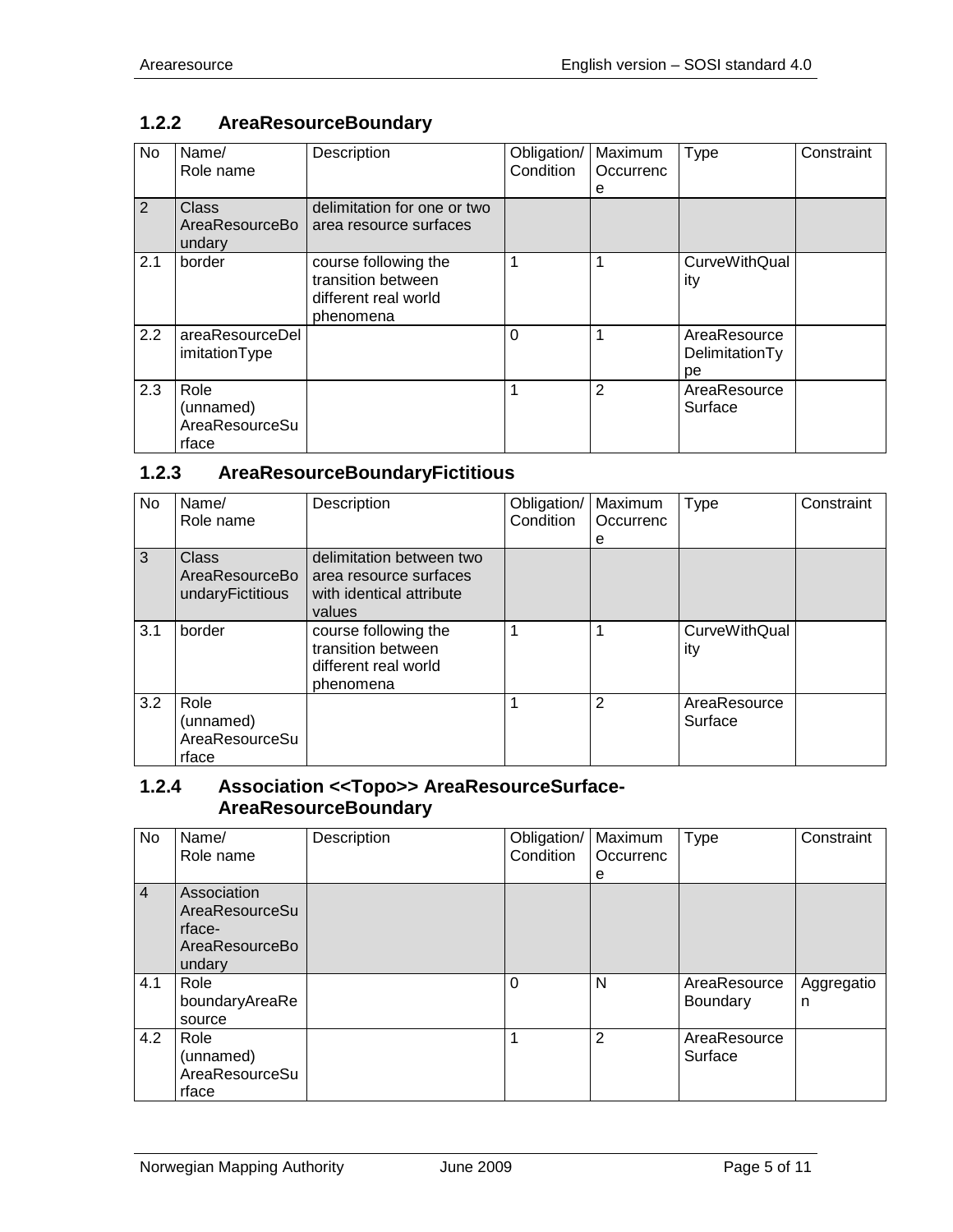## <span id="page-4-0"></span>**1.2.2 AreaResourceBoundary**

| No  | Name/<br>Role name                           | Description                                                                     | Obligation/<br>Condition | Maximum<br>Occurrenc<br>е | Type                                 | Constraint |
|-----|----------------------------------------------|---------------------------------------------------------------------------------|--------------------------|---------------------------|--------------------------------------|------------|
| 2   | Class<br>AreaResourceBo<br>undary            | delimitation for one or two<br>area resource surfaces                           |                          |                           |                                      |            |
| 2.1 | border                                       | course following the<br>transition between<br>different real world<br>phenomena |                          |                           | <b>CurveWithQual</b><br>ity          |            |
| 2.2 | areaResourceDel<br>imitationType             |                                                                                 | 0                        |                           | AreaResource<br>DelimitationTy<br>рe |            |
| 2.3 | Role<br>(unnamed)<br>AreaResourceSu<br>rface |                                                                                 |                          | 2                         | AreaResource<br>Surface              |            |

# <span id="page-4-1"></span>**1.2.3 AreaResourceBoundaryFictitious**

| No. | Name/<br>Role name                           | Description                                                                              | Obligation/<br>Condition | Maximum<br>Occurrenc<br>е | Type                        | Constraint |
|-----|----------------------------------------------|------------------------------------------------------------------------------------------|--------------------------|---------------------------|-----------------------------|------------|
| 3   | Class<br>AreaResourceBo<br>undaryFictitious  | delimitation between two<br>area resource surfaces<br>with identical attribute<br>values |                          |                           |                             |            |
| 3.1 | border                                       | course following the<br>transition between<br>different real world<br>phenomena          |                          |                           | <b>CurveWithQual</b><br>ity |            |
| 3.2 | Role<br>(unnamed)<br>AreaResourceSu<br>rface |                                                                                          |                          | 2                         | AreaResource<br>Surface     |            |

#### <span id="page-4-2"></span>**1.2.4 Association <<Topo>> AreaResourceSurface-AreaResourceBoundary**

| <b>No</b>      | Name/<br>Role name                                                  | Description | Obligation/<br>Condition | Maximum<br>Occurrenc<br>е | <b>Type</b>                     | Constraint      |
|----------------|---------------------------------------------------------------------|-------------|--------------------------|---------------------------|---------------------------------|-----------------|
| $\overline{4}$ | Association<br>AreaResourceSu<br>rface-<br>AreaResourceBo<br>undary |             |                          |                           |                                 |                 |
| 4.1            | Role<br>boundaryAreaRe<br>source                                    |             | $\Omega$                 | N                         | AreaResource<br><b>Boundary</b> | Aggregatio<br>n |
| 4.2            | Role<br>(unnamed)<br>AreaResourceSu<br>rface                        |             |                          | 2                         | AreaResource<br>Surface         |                 |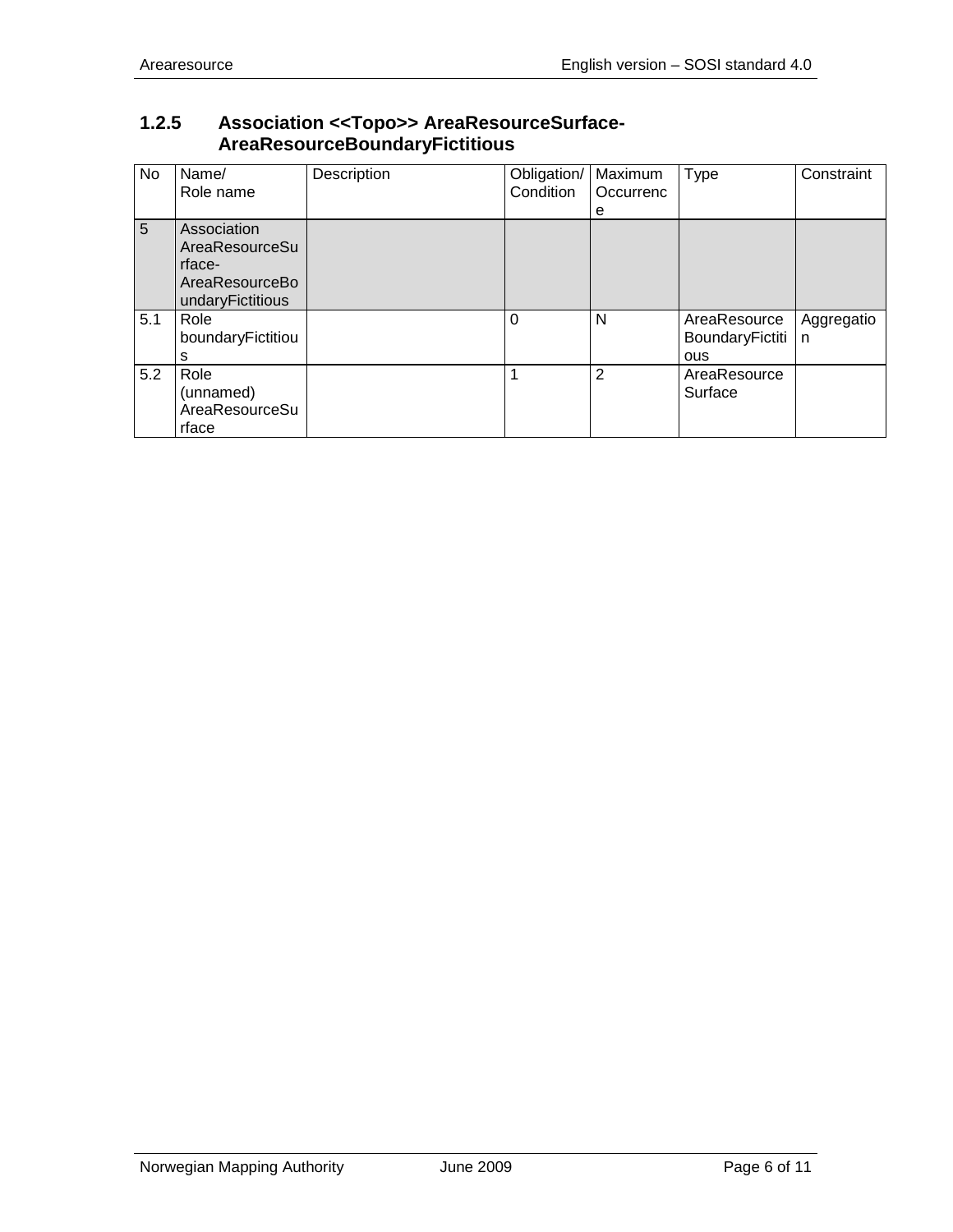#### <span id="page-5-0"></span>**1.2.5 Association <<Topo>> AreaResourceSurface-AreaResourceBoundaryFictitious**

| No  | Name/<br>Role name                                                            | Description | Obligation/<br>Condition | Maximum<br>Occurrenc<br>e | Type                                   | Constraint      |
|-----|-------------------------------------------------------------------------------|-------------|--------------------------|---------------------------|----------------------------------------|-----------------|
| 5   | Association<br>AreaResourceSu<br>rface-<br>AreaResourceBo<br>undaryFictitious |             |                          |                           |                                        |                 |
| 5.1 | Role<br>boundaryFictitiou<br>s                                                |             | $\Omega$                 | N                         | AreaResource<br>BoundaryFictiti<br>ous | Aggregatio<br>n |
| 5.2 | Role<br>(unnamed)<br>AreaResourceSu<br>rface                                  |             |                          | $\overline{2}$            | AreaResource<br>Surface                |                 |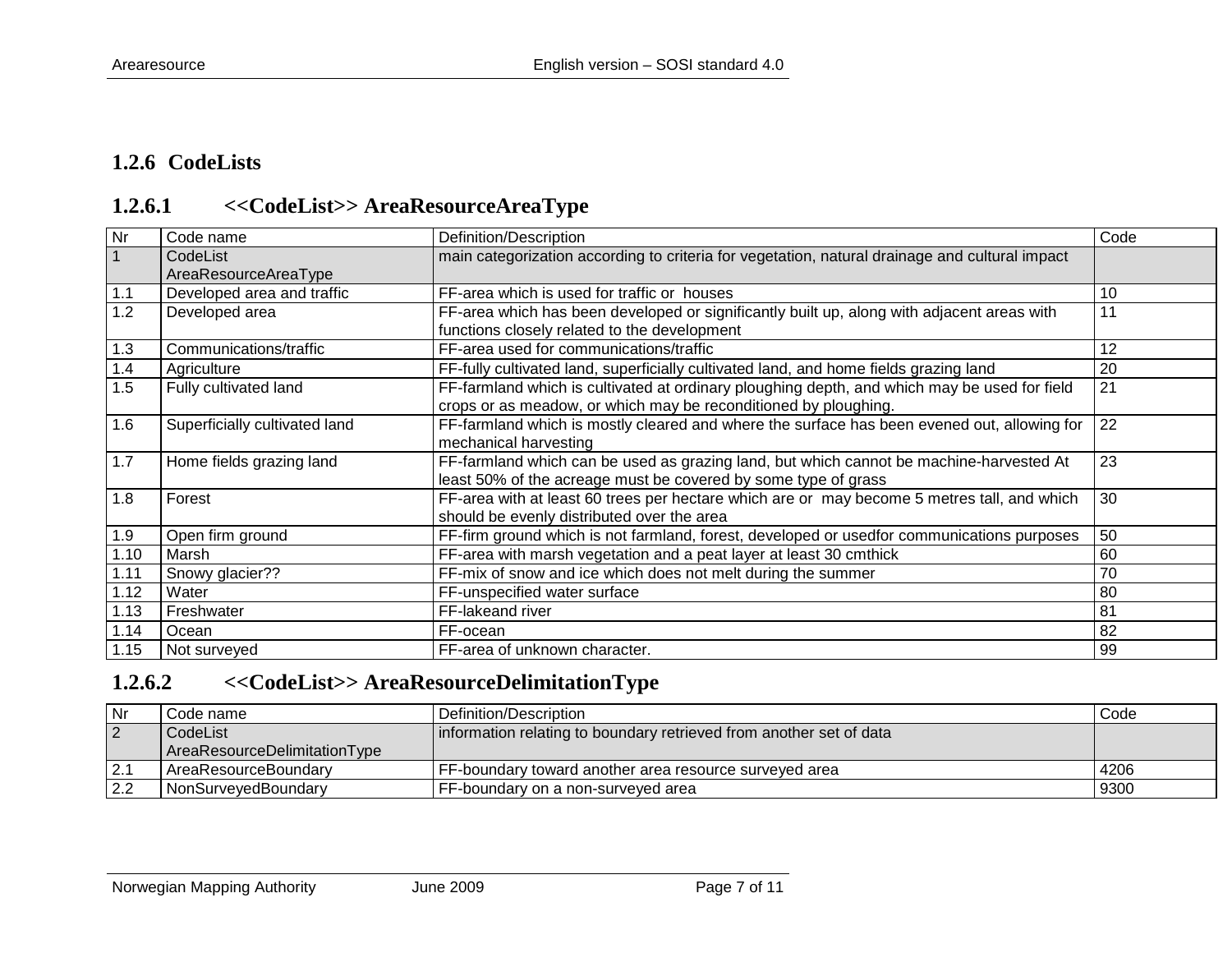## **1.2.6 CodeLists**

# **1.2.6.1 <<CodeList>> AreaResourceAreaType**

<span id="page-6-0"></span>

| <b>Nr</b>      | Code name                        | Definition/Description                                                                                                                                          | Code |
|----------------|----------------------------------|-----------------------------------------------------------------------------------------------------------------------------------------------------------------|------|
| $\overline{1}$ | CodeList<br>AreaResourceAreaType | main categorization according to criteria for vegetation, natural drainage and cultural impact                                                                  |      |
| 1.1            | Developed area and traffic       | FF-area which is used for traffic or houses                                                                                                                     | 10   |
| 1.2            | Developed area                   | FF-area which has been developed or significantly built up, along with adjacent areas with<br>functions closely related to the development                      | 11   |
| 1.3            | Communications/traffic           | FF-area used for communications/traffic                                                                                                                         | 12   |
| 1.4            | Agriculture                      | FF-fully cultivated land, superficially cultivated land, and home fields grazing land                                                                           | 20   |
| 1.5            | Fully cultivated land            | FF-farmland which is cultivated at ordinary ploughing depth, and which may be used for field<br>crops or as meadow, or which may be reconditioned by ploughing. | 21   |
| 1.6            | Superficially cultivated land    | FF-farmland which is mostly cleared and where the surface has been evened out, allowing for<br>mechanical harvesting                                            | 22   |
| 1.7            | Home fields grazing land         | FF-farmland which can be used as grazing land, but which cannot be machine-harvested At<br>least 50% of the acreage must be covered by some type of grass       | 23   |
| 1.8            | Forest                           | FF-area with at least 60 trees per hectare which are or may become 5 metres tall, and which<br>should be evenly distributed over the area                       | 30   |
| 1.9            | Open firm ground                 | FF-firm ground which is not farmland, forest, developed or usedfor communications purposes                                                                      | 50   |
| 1.10           | Marsh                            | FF-area with marsh vegetation and a peat layer at least 30 cmthick                                                                                              | 60   |
| 1.11           | Snowy glacier??                  | FF-mix of snow and ice which does not melt during the summer                                                                                                    | 70   |
| 1.12           | Water                            | FF-unspecified water surface                                                                                                                                    | 80   |
| 1.13           | Freshwater                       | FF-lakeand river                                                                                                                                                | 81   |
| 1.14           | Ocean                            | FF-ocean                                                                                                                                                        | 82   |
| 1.15           | Not surveyed                     | FF-area of unknown character.                                                                                                                                   | 99   |

## <span id="page-6-1"></span>**1.2.6.2 <<CodeList>> AreaResourceDelimitationType**

<span id="page-6-2"></span>

| l Nr           | code name                    | Definition/Description                                              | Code |
|----------------|------------------------------|---------------------------------------------------------------------|------|
| $\overline{2}$ | CodeList                     | information relating to boundary retrieved from another set of data |      |
|                | AreaResourceDelimitationType |                                                                     |      |
|                | l AreaResourceBoundarv       | <b>FF-boundary toward another area resource surveyed area</b>       | 4206 |
| 2.2            | NonSurveyedBoundary          | FF-boundary on a non-surveyed area                                  | 9300 |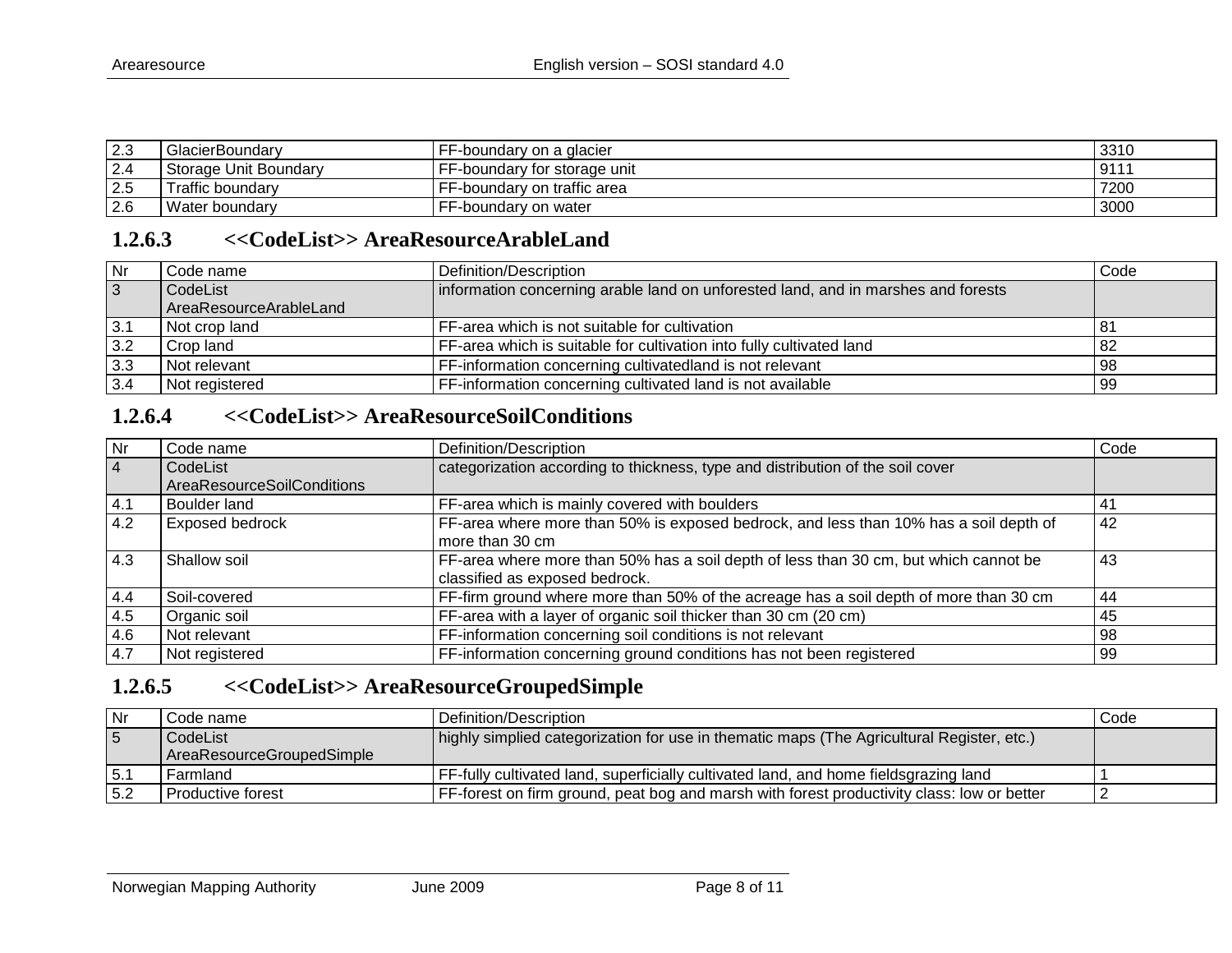| $\sim$<br>ن.∠ | GlacierBoundary         | --<br>--boundary on a glacier | 3310       |
|---------------|-------------------------|-------------------------------|------------|
| n.<br><u></u> | l Storage Unit Boundarv | F-boundary for storage unit   | 011<br>ืีย |
| 2.5           | Traffic boundary        | F-boundary on traffic area    | 7200       |
| 2.6           | Water boundary          | --<br>F-boundary on water     | 3000       |

### **1.2.6.3 <<CodeList>> AreaResourceArableLand**

| <b>Nr</b>      | Code name              | Definition/Description                                                            | Code |
|----------------|------------------------|-----------------------------------------------------------------------------------|------|
| $\overline{3}$ | CodeList               | information concerning arable land on unforested land, and in marshes and forests |      |
|                | AreaResourceArableLand |                                                                                   |      |
| 3.1            | Not crop land          | FF-area which is not suitable for cultivation                                     | -81  |
| 3.2            | Crop land              | FF-area which is suitable for cultivation into fully cultivated land              | 82   |
| 3.3            | Not relevant           | FF-information concerning cultivatedland is not relevant                          | 98   |
| 3.4            | Not registered         | FF-information concerning cultivated land is not available                        | 99   |

## **1.2.6.4 <<CodeList>> AreaResourceSoilConditions**

<span id="page-7-0"></span>

| $\overline{\mathsf{N}}$ r | Code name                         | Definition/Description                                                                | Code |
|---------------------------|-----------------------------------|---------------------------------------------------------------------------------------|------|
| $\overline{4}$            | CodeList                          | categorization according to thickness, type and distribution of the soil cover        |      |
|                           | <b>AreaResourceSoilConditions</b> |                                                                                       |      |
| 4.1                       | Boulder land                      | FF-area which is mainly covered with boulders                                         | -41  |
| 4.2                       | Exposed bedrock                   | FF-area where more than 50% is exposed bedrock, and less than 10% has a soil depth of | 42   |
|                           |                                   | more than 30 cm                                                                       |      |
| 4.3                       | Shallow soil                      | FF-area where more than 50% has a soil depth of less than 30 cm, but which cannot be  | 43   |
|                           |                                   | classified as exposed bedrock.                                                        |      |
| 4.4                       | Soil-covered                      | FF-firm ground where more than 50% of the acreage has a soil depth of more than 30 cm | 44   |
| 4.5                       | Organic soil                      | FF-area with a layer of organic soil thicker than $30 \text{ cm}$ (20 cm)             | 45   |
| 4.6                       | Not relevant                      | FF-information concerning soil conditions is not relevant                             | 98   |
| 4.7                       | Not registered                    | FF-information concerning ground conditions has not been registered                   | 99   |

## <span id="page-7-1"></span>**1.2.6.5 <<CodeList>> AreaResourceGroupedSimple**

<span id="page-7-2"></span>

| l Nr             | Code name                 | Definition/Description                                                                     | Code |
|------------------|---------------------------|--------------------------------------------------------------------------------------------|------|
| 5                | CodeList                  | highly simplied categorization for use in thematic maps (The Agricultural Register, etc.)  |      |
|                  | AreaResourceGroupedSimple |                                                                                            |      |
| $\overline{5}$ . | l Farmland                | FF-fully cultivated land, superficially cultivated land, and home fieldsgrazing land       |      |
| 5.2              | Productive forest         | FF-forest on firm ground, peat bog and marsh with forest productivity class: low or better |      |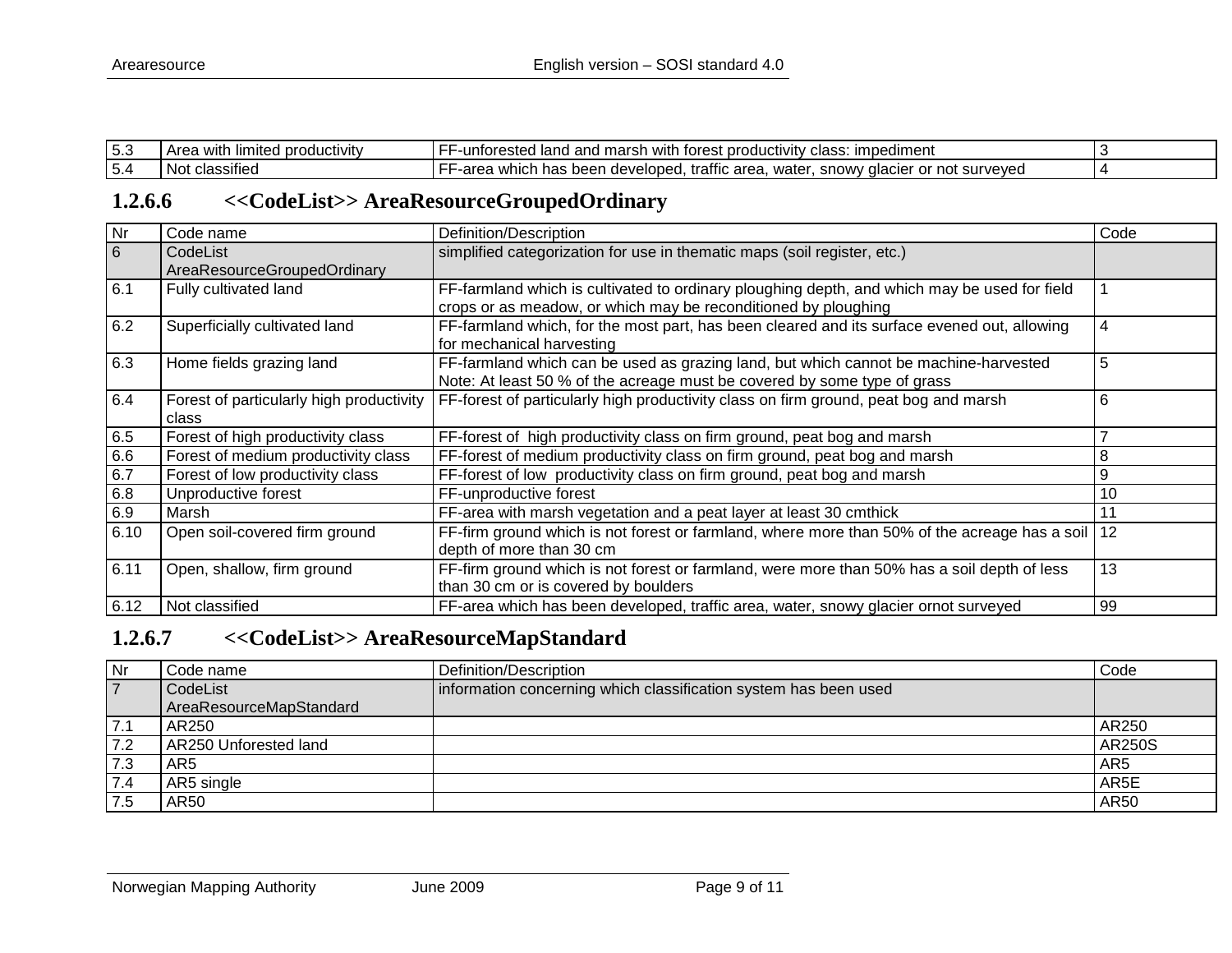| ن. ب | ∟limited<br>, productivity<br>with<br>UL CO | --<br><b>Impediment</b><br>i with forest productivity.<br>l marsh<br>l land<br>untorested.<br>and<br>lass<br>.<br>טסו                                   |  |
|------|---------------------------------------------|---------------------------------------------------------------------------------------------------------------------------------------------------------|--|
| 5.4  | .<br>` classıfıed<br>.NC                    | -<br>r or not surveved<br>which<br>area.<br>$\sim$<br>-area<br>u developer<br>trattic<br>water<br>$\bigcap M$<br>$50-$<br>acier<br>neer<br>ы<br>. IU vv |  |

## **1.2.6.6 <<CodeList>> AreaResourceGroupedOrdinary**

|                | Code name                               | Definition/Description                                                                                                                                           | Code |
|----------------|-----------------------------------------|------------------------------------------------------------------------------------------------------------------------------------------------------------------|------|
| $\frac{Nr}{6}$ | CodeList<br>AreaResourceGroupedOrdinary | simplified categorization for use in thematic maps (soil register, etc.)                                                                                         |      |
| 6.1            | Fully cultivated land                   | FF-farmland which is cultivated to ordinary ploughing depth, and which may be used for field<br>crops or as meadow, or which may be reconditioned by ploughing   |      |
| 6.2            | Superficially cultivated land           | FF-farmland which, for the most part, has been cleared and its surface evened out, allowing<br>for mechanical harvesting                                         | 4    |
| 6.3            | Home fields grazing land                | FF-farmland which can be used as grazing land, but which cannot be machine-harvested<br>Note: At least 50 % of the acreage must be covered by some type of grass | 5    |
| 6.4            | class                                   | Forest of particularly high productivity   FF-forest of particularly high productivity class on firm ground, peat bog and marsh                                  | 6    |
| 6.5            | Forest of high productivity class       | FF-forest of high productivity class on firm ground, peat bog and marsh                                                                                          |      |
| 6.6            | Forest of medium productivity class     | FF-forest of medium productivity class on firm ground, peat bog and marsh                                                                                        | 8    |
| 6.7            | Forest of low productivity class        | FF-forest of low productivity class on firm ground, peat bog and marsh                                                                                           | 9    |
| 6.8            | Unproductive forest                     | FF-unproductive forest                                                                                                                                           | 10   |
| 6.9            | Marsh                                   | FF-area with marsh vegetation and a peat layer at least 30 cmthick                                                                                               | 11   |
| 6.10           | Open soil-covered firm ground           | FF-firm ground which is not forest or farmland, where more than 50% of the acreage has a soil<br>depth of more than 30 cm                                        | 12   |
| 6.11           | Open, shallow, firm ground              | FF-firm ground which is not forest or farmland, were more than 50% has a soil depth of less<br>than 30 cm or is covered by boulders                              | 13   |
| 6.12           | Not classified                          | FF-area which has been developed, traffic area, water, snowy glacier ornot surveyed                                                                              | 99   |

## <span id="page-8-0"></span>**1.2.6.7 <<CodeList>> AreaResourceMapStandard**

<span id="page-8-1"></span>

| Nr             | Code name               | Definition/Description                                           | Code            |
|----------------|-------------------------|------------------------------------------------------------------|-----------------|
| $\overline{7}$ | CodeList                | information concerning which classification system has been used |                 |
|                | AreaResourceMapStandard |                                                                  |                 |
| 7.1            | AR250                   |                                                                  | AR250           |
| 7.2            | AR250 Unforested land   |                                                                  | AR250S          |
| 7.3            | AR <sub>5</sub>         |                                                                  | AR <sub>5</sub> |
| 7.4            | AR5 single              |                                                                  | AR5E            |
|                | AR50                    |                                                                  | AR50            |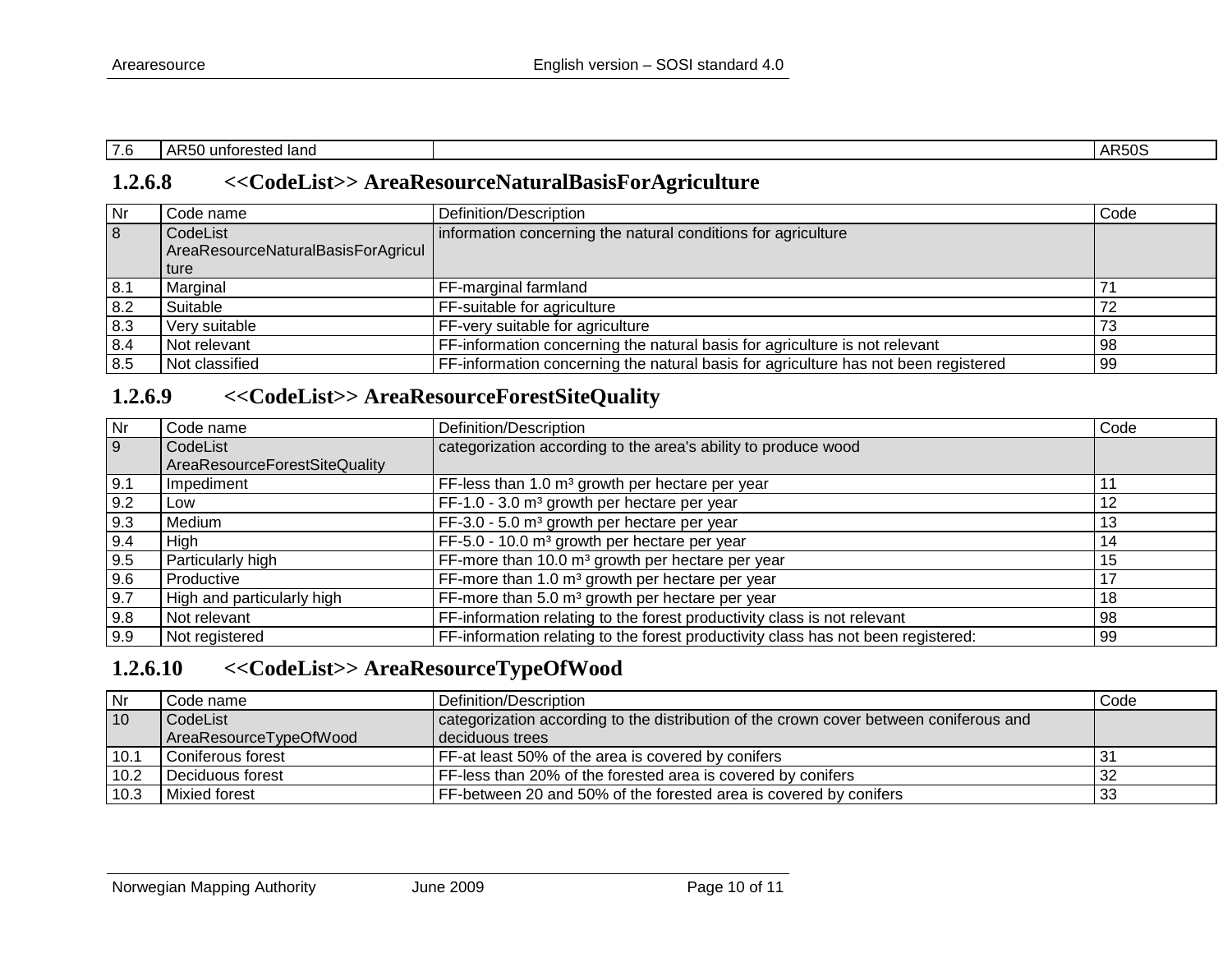| $\sim$<br>7.6 | land<br>intor.<br>"∼<br>ested<br>unun<br>$\sim$ $\sim$ |  | $\Delta$<br><b>ARUL</b> |
|---------------|--------------------------------------------------------|--|-------------------------|
|---------------|--------------------------------------------------------|--|-------------------------|

## **1.2.6.8 <<CodeList>> AreaResourceNaturalBasisForAgriculture**

| Nr  | Code name                          | Definition/Description                                                              | Code |
|-----|------------------------------------|-------------------------------------------------------------------------------------|------|
| 8   | CodeList                           | information concerning the natural conditions for agriculture                       |      |
|     | AreaResourceNaturalBasisForAgricul |                                                                                     |      |
|     | ture                               |                                                                                     |      |
| 8.1 | Marginal                           | FF-marginal farmland                                                                |      |
| 8.2 | Suitable                           | FF-suitable for agriculture                                                         |      |
| 8.3 | Very suitable                      | FF-very suitable for agriculture                                                    |      |
| 8.4 | Not relevant                       | FF-information concerning the natural basis for agriculture is not relevant         | 98   |
| 8.5 | Not classified                     | FF-information concerning the natural basis for agriculture has not been registered | 99   |

## **1.2.6.9 <<CodeList>> AreaResourceForestSiteQuality**

<span id="page-9-0"></span>

| $\overline{\mathsf{N}}$ r | Code name                     | Definition/Description                                                            | Code |
|---------------------------|-------------------------------|-----------------------------------------------------------------------------------|------|
| $\overline{9}$            | CodeList                      | categorization according to the area's ability to produce wood                    |      |
|                           | AreaResourceForestSiteQuality |                                                                                   |      |
| 9.1                       | Impediment                    | FF-less than 1.0 m <sup>3</sup> growth per hectare per year                       |      |
| 9.2                       | Low                           | FF-1.0 - 3.0 m <sup>3</sup> growth per hectare per year                           | 12   |
| 9.3                       | Medium                        | FF-3.0 - 5.0 m <sup>3</sup> growth per hectare per year                           | 13   |
| 9.4                       | High                          | FF-5.0 - 10.0 m <sup>3</sup> growth per hectare per year                          | 14   |
| 9.5                       | Particularly high             | FF-more than 10.0 m <sup>3</sup> growth per hectare per year                      | 15   |
| 9.6                       | Productive                    | FF-more than 1.0 m <sup>3</sup> growth per hectare per year                       |      |
| 9.7                       | High and particularly high    | FF-more than 5.0 m <sup>3</sup> growth per hectare per year                       | 18   |
| 9.8                       | Not relevant                  | FF-information relating to the forest productivity class is not relevant          | 98   |
| 9.9                       | Not registered                | FF-information relating to the forest productivity class has not been registered: | 99   |

## <span id="page-9-1"></span>**1.2.6.10 <<CodeList>> AreaResourceTypeOfWood**

<span id="page-9-2"></span>

| Nr   | Code name:             | Definition/Description                                                                 | Code |
|------|------------------------|----------------------------------------------------------------------------------------|------|
| 10   | CodeList               | categorization according to the distribution of the crown cover between coniferous and |      |
|      | AreaResourceTypeOfWood | l deciduous trees                                                                      |      |
| 10.1 | l Coniferous forest    | FF-at least 50% of the area is covered by conifers                                     |      |
| 10.2 | Deciduous forest       | FF-less than 20% of the forested area is covered by conifers                           |      |
| 10.3 | Mixied forest          | FF-between 20 and 50% of the forested area is covered by conifers                      | 33   |